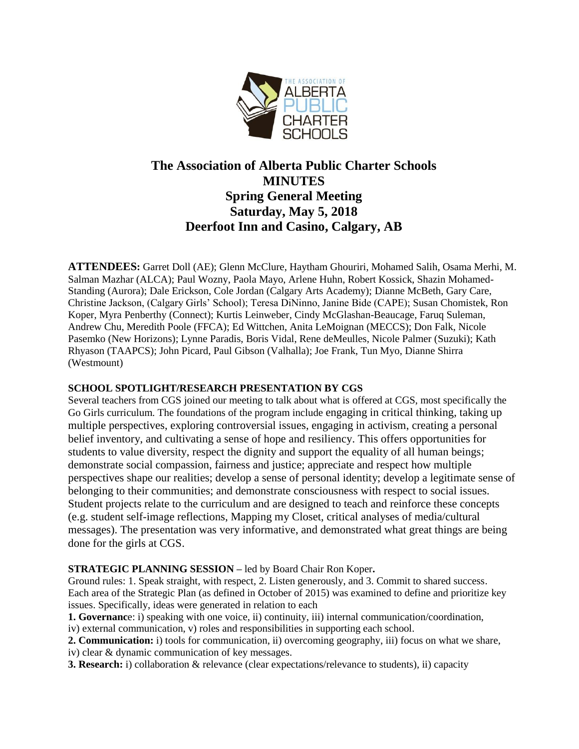

# **The Association of Alberta Public Charter Schools MINUTES Spring General Meeting Saturday, May 5, 2018 Deerfoot Inn and Casino, Calgary, AB**

**ATTENDEES:** Garret Doll (AE); Glenn McClure, Haytham Ghouriri, Mohamed Salih, Osama Merhi, M. Salman Mazhar (ALCA); Paul Wozny, Paola Mayo, Arlene Huhn, Robert Kossick, Shazin Mohamed-Standing (Aurora); Dale Erickson, Cole Jordan (Calgary Arts Academy); Dianne McBeth, Gary Care, Christine Jackson, (Calgary Girls' School); Teresa DiNinno, Janine Bide (CAPE); Susan Chomistek, Ron Koper, Myra Penberthy (Connect); Kurtis Leinweber, Cindy McGlashan-Beaucage, Faruq Suleman, Andrew Chu, Meredith Poole (FFCA); Ed Wittchen, Anita LeMoignan (MECCS); Don Falk, Nicole Pasemko (New Horizons); Lynne Paradis, Boris Vidal, Rene deMeulles, Nicole Palmer (Suzuki); Kath Rhyason (TAAPCS); John Picard, Paul Gibson (Valhalla); Joe Frank, Tun Myo, Dianne Shirra (Westmount)

## **SCHOOL SPOTLIGHT/RESEARCH PRESENTATION BY CGS**

Several teachers from CGS joined our meeting to talk about what is offered at CGS, most specifically the Go Girls curriculum. The foundations of the program include engaging in critical thinking, taking up multiple perspectives, exploring controversial issues, engaging in activism, creating a personal belief inventory, and cultivating a sense of hope and resiliency. This offers opportunities for students to value diversity, respect the dignity and support the equality of all human beings; demonstrate social compassion, fairness and justice; appreciate and respect how multiple perspectives shape our realities; develop a sense of personal identity; develop a legitimate sense of belonging to their communities; and demonstrate consciousness with respect to social issues. Student projects relate to the curriculum and are designed to teach and reinforce these concepts (e.g. student self-image reflections, Mapping my Closet, critical analyses of media/cultural messages). The presentation was very informative, and demonstrated what great things are being done for the girls at CGS.

## **STRATEGIC PLANNING SESSION –** led by Board Chair Ron Koper**.**

Ground rules: 1. Speak straight, with respect, 2. Listen generously, and 3. Commit to shared success. Each area of the Strategic Plan (as defined in October of 2015) was examined to define and prioritize key issues. Specifically, ideas were generated in relation to each

**1. Governanc**e: i) speaking with one voice, ii) continuity, iii) internal communication/coordination, iv) external communication, v) roles and responsibilities in supporting each school.

**2. Communication:** i) tools for communication, ii) overcoming geography, iii) focus on what we share, iv) clear & dynamic communication of key messages.

**3. Research:** i) collaboration & relevance (clear expectations/relevance to students), ii) capacity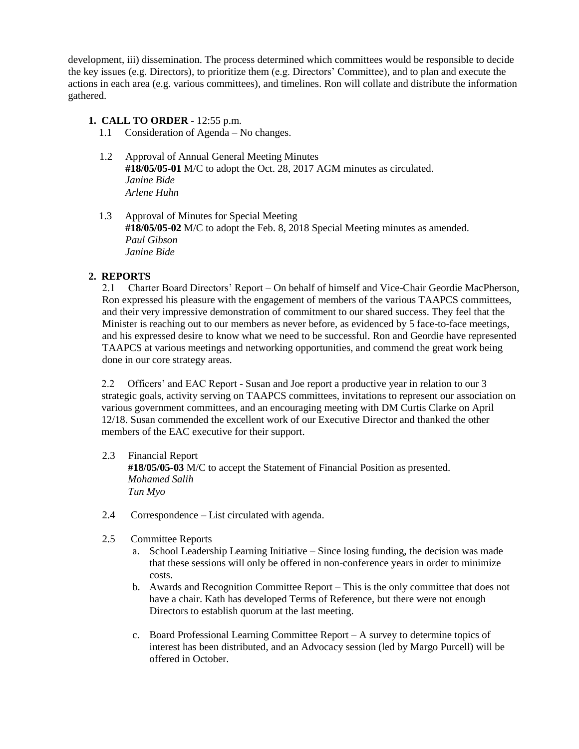development, iii) dissemination. The process determined which committees would be responsible to decide the key issues (e.g. Directors), to prioritize them (e.g. Directors' Committee), and to plan and execute the actions in each area (e.g. various committees), and timelines. Ron will collate and distribute the information gathered.

#### **1. CALL TO ORDER** - 12:55 p.m.

- 1.1 Consideration of Agenda No changes.
- 1.2 Approval of Annual General Meeting Minutes **#18/05/05-01** M/C to adopt the Oct. 28, 2017 AGM minutes as circulated. *Janine Bide Arlene Huhn*
- 1.3 Approval of Minutes for Special Meeting **#18/05/05-02** M/C to adopt the Feb. 8, 2018 Special Meeting minutes as amended. *Paul Gibson Janine Bide*

#### **2. REPORTS**

2.1 Charter Board Directors' Report – On behalf of himself and Vice-Chair Geordie MacPherson, Ron expressed his pleasure with the engagement of members of the various TAAPCS committees, and their very impressive demonstration of commitment to our shared success. They feel that the Minister is reaching out to our members as never before, as evidenced by 5 face-to-face meetings, and his expressed desire to know what we need to be successful. Ron and Geordie have represented TAAPCS at various meetings and networking opportunities, and commend the great work being done in our core strategy areas.

 2.2 Officers' and EAC Report - Susan and Joe report a productive year in relation to our 3 strategic goals, activity serving on TAAPCS committees, invitations to represent our association on various government committees, and an encouraging meeting with DM Curtis Clarke on April 12/18. Susan commended the excellent work of our Executive Director and thanked the other members of the EAC executive for their support.

## 2.3 Financial Report

 **#18/05/05-03** M/C to accept the Statement of Financial Position as presented. *Mohamed Salih Tun Myo*

- 2.4 Correspondence List circulated with agenda.
- 2.5 Committee Reports
	- a. School Leadership Learning Initiative Since losing funding, the decision was made that these sessions will only be offered in non-conference years in order to minimize costs.
	- b. Awards and Recognition Committee Report This is the only committee that does not have a chair. Kath has developed Terms of Reference, but there were not enough Directors to establish quorum at the last meeting.
	- c. Board Professional Learning Committee Report A survey to determine topics of interest has been distributed, and an Advocacy session (led by Margo Purcell) will be offered in October.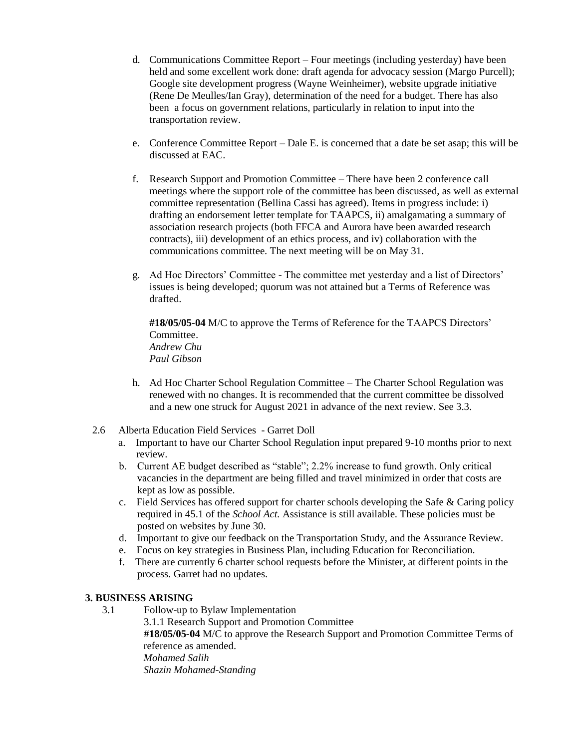- d. Communications Committee Report Four meetings (including yesterday) have been held and some excellent work done: draft agenda for advocacy session (Margo Purcell); Google site development progress (Wayne Weinheimer), website upgrade initiative (Rene De Meulles/Ian Gray), determination of the need for a budget. There has also been a focus on government relations, particularly in relation to input into the transportation review.
- e. Conference Committee Report Dale E. is concerned that a date be set asap; this will be discussed at EAC.
- f. Research Support and Promotion Committee There have been 2 conference call meetings where the support role of the committee has been discussed, as well as external committee representation (Bellina Cassi has agreed). Items in progress include: i) drafting an endorsement letter template for TAAPCS, ii) amalgamating a summary of association research projects (both FFCA and Aurora have been awarded research contracts), iii) development of an ethics process, and iv) collaboration with the communications committee. The next meeting will be on May 31.
- g. Ad Hoc Directors' Committee The committee met yesterday and a list of Directors' issues is being developed; quorum was not attained but a Terms of Reference was drafted.

**#18/05/05-04** M/C to approve the Terms of Reference for the TAAPCS Directors' Committee. *Andrew Chu Paul Gibson*

- h. Ad Hoc Charter School Regulation Committee The Charter School Regulation was renewed with no changes. It is recommended that the current committee be dissolved and a new one struck for August 2021 in advance of the next review. See 3.3.
- 2.6 Alberta Education Field Services Garret Doll
	- a. Important to have our Charter School Regulation input prepared 9-10 months prior to next review.
	- b. Current AE budget described as "stable"; 2.2% increase to fund growth. Only critical vacancies in the department are being filled and travel minimized in order that costs are kept as low as possible.
	- c. Field Services has offered support for charter schools developing the Safe & Caring policy required in 45.1 of the *School Act.* Assistance is still available. These policies must be posted on websites by June 30.
	- d. Important to give our feedback on the Transportation Study, and the Assurance Review.
	- e. Focus on key strategies in Business Plan, including Education for Reconciliation.
	- f. There are currently 6 charter school requests before the Minister, at different points in the process. Garret had no updates.

#### **3. BUSINESS ARISING**

3.1 Follow-up to Bylaw Implementation

 3.1.1 Research Support and Promotion Committee **#18/05/05-04** M/C to approve the Research Support and Promotion Committee Terms of reference as amended. *Mohamed Salih Shazin Mohamed-Standing*